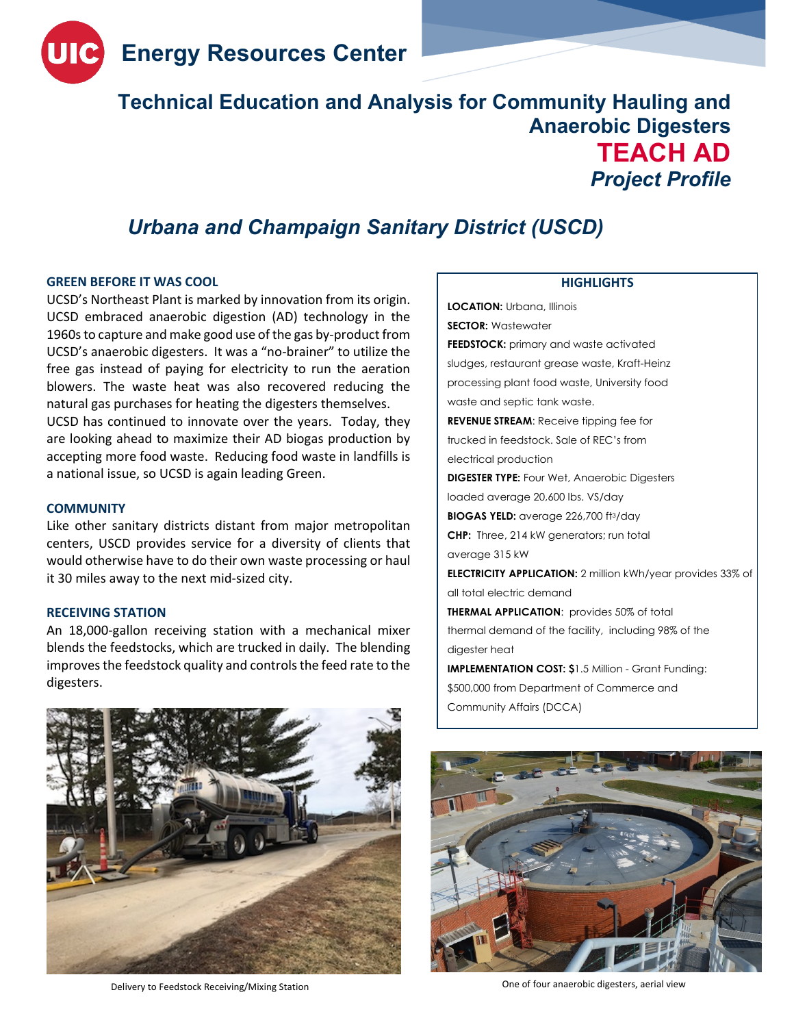

# **Technical Education and Analysis for Community Hauling and Anaerobic Digesters TEACH AD** *Project Profile*

## *Urbana and Champaign Sanitary District (USCD)*

#### **GREEN BEFORE IT WAS COOL**

UCSD's Northeast Plant is marked by innovation from its origin. UCSD embraced anaerobic digestion (AD) technology in the 1960sto capture and make good use of the gas by-product from UCSD's anaerobic digesters. It was a "no-brainer" to utilize the free gas instead of paying for electricity to run the aeration blowers. The waste heat was also recovered reducing the natural gas purchases for heating the digesters themselves. UCSD has continued to innovate over the years. Today, they are looking ahead to maximize their AD biogas production by accepting more food waste. Reducing food waste in landfills is a national issue, so UCSD is again leading Green.

#### **COMMUNITY**

Like other sanitary districts distant from major metropolitan centers, USCD provides service for a diversity of clients that would otherwise have to do their own waste processing or haul it 30 miles away to the next mid-sized city.

#### **RECEIVING STATION**

An 18,000-gallon receiving station with a mechanical mixer blends the feedstocks, which are trucked in daily. The blending improves the feedstock quality and controls the feed rate to the digesters.

Delivery to Feedstock Receiving/Mixing Station One of four anaerobic digesters, aerial view

### **HIGHLIGHTS**

**LOCATION:** Urbana, Illinois **SECTOR:** Wastewater **FEEDSTOCK:** primary and waste activated sludges, restaurant grease waste, Kraft-Heinz processing plant food waste, University food waste and septic tank waste. **REVENUE STREAM**: Receive tipping fee for trucked in feedstock. Sale of REC's from electrical production **DIGESTER TYPE:** Four Wet, Anaerobic Digesters loaded average 20,600 lbs. VS/day **BIOGAS YELD:** average 226,700 ft3/day **CHP:** Three, 214 kW generators; run total average 315 kW **ELECTRICITY APPLICATION:** 2 million kWh/year provides 33% of all total electric demand **THERMAL APPLICATION**: provides 50% of total thermal demand of the facility, including 98% of the digester heat **IMPLEMENTATION COST: \$**1.5 Million - Grant Funding: \$500,000 from Department of Commerce and Community Affairs (DCCA)